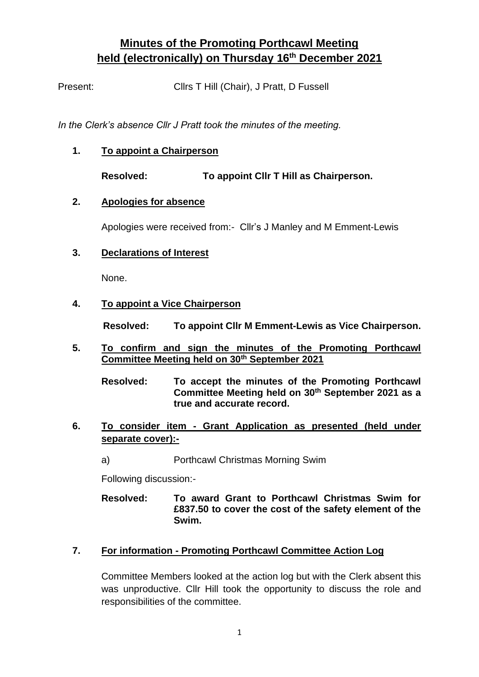# **Minutes of the Promoting Porthcawl Meeting held (electronically) on Thursday 16th December 2021**

Present: Cllrs T Hill (Chair), J Pratt, D Fussell

*In the Clerk's absence Cllr J Pratt took the minutes of the meeting.*

**1. To appoint a Chairperson**

**Resolved: To appoint Cllr T Hill as Chairperson.**

### **2. Apologies for absence**

Apologies were received from:- Cllr's J Manley and M Emment-Lewis

### **3. Declarations of Interest**

None.

### **4. To appoint a Vice Chairperson**

**Resolved: To appoint Cllr M Emment-Lewis as Vice Chairperson.**

- **5. To confirm and sign the minutes of the Promoting Porthcawl Committee Meeting held on 30th September 2021**
	- **Resolved: To accept the minutes of the Promoting Porthcawl Committee Meeting held on 30th September 2021 as a true and accurate record.**
- **6. To consider item - Grant Application as presented (held under separate cover):**
	- a) Porthcawl Christmas Morning Swim

Following discussion:-

**Resolved: To award Grant to Porthcawl Christmas Swim for £837.50 to cover the cost of the safety element of the Swim.**

## **7. For information - Promoting Porthcawl Committee Action Log**

Committee Members looked at the action log but with the Clerk absent this was unproductive. Cllr Hill took the opportunity to discuss the role and responsibilities of the committee.